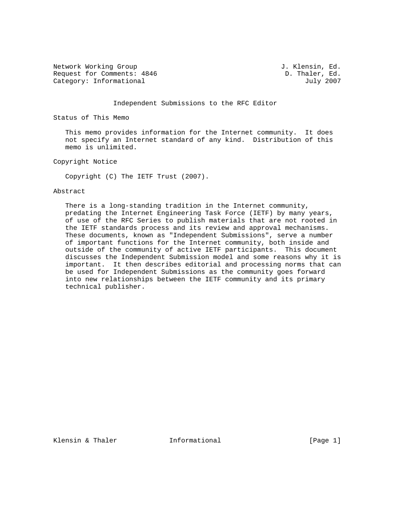Network Working Group 3. Alensin, Ed. Request for Comments: 4846 D. Thaler, Ed. Category: Informational D. Thaler, Ed. Category: Informational

### Independent Submissions to the RFC Editor

Status of This Memo

 This memo provides information for the Internet community. It does not specify an Internet standard of any kind. Distribution of this memo is unlimited.

Copyright Notice

Copyright (C) The IETF Trust (2007).

#### Abstract

 There is a long-standing tradition in the Internet community, predating the Internet Engineering Task Force (IETF) by many years, of use of the RFC Series to publish materials that are not rooted in the IETF standards process and its review and approval mechanisms. These documents, known as "Independent Submissions", serve a number of important functions for the Internet community, both inside and outside of the community of active IETF participants. This document discusses the Independent Submission model and some reasons why it is important. It then describes editorial and processing norms that can be used for Independent Submissions as the community goes forward into new relationships between the IETF community and its primary technical publisher.

Klensin & Thaler **Informational Informational** [Page 1]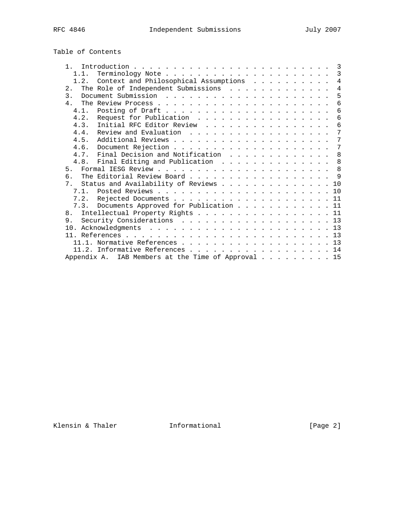| Table of Contents |  |
|-------------------|--|
|-------------------|--|

| $\mathbf{1}$   |                                                    |  |  |  |  |  | 3   |
|----------------|----------------------------------------------------|--|--|--|--|--|-----|
| 1.1.           |                                                    |  |  |  |  |  | 3   |
| 1.2.           | Context and Philosophical Assumptions              |  |  |  |  |  | 4   |
| 2.1            |                                                    |  |  |  |  |  | 4   |
| $\mathcal{E}$  |                                                    |  |  |  |  |  | 5   |
| $\overline{4}$ |                                                    |  |  |  |  |  | 6   |
| 4.1.           |                                                    |  |  |  |  |  | 6   |
| 4.2.           | Request for Publication                            |  |  |  |  |  | 6   |
| 4.3.           | Initial RFC Editor Review                          |  |  |  |  |  | 6   |
| 4.4.           | Review and Evaluation                              |  |  |  |  |  | 7   |
| 4.5.           |                                                    |  |  |  |  |  | 7   |
|                |                                                    |  |  |  |  |  | 7   |
| 4.7.           | Final Decision and Notification                    |  |  |  |  |  | 8   |
| 4.8.           | Final Editing and Publication                      |  |  |  |  |  | 8   |
|                |                                                    |  |  |  |  |  | 8   |
| б.             |                                                    |  |  |  |  |  | - 9 |
| 7 <sup>1</sup> | Status and Availability of Reviews                 |  |  |  |  |  | 1 O |
|                |                                                    |  |  |  |  |  |     |
|                |                                                    |  |  |  |  |  |     |
|                | 7.3. Documents Approved for Publication 11         |  |  |  |  |  |     |
| 8.             | Intellectual Property Rights 11                    |  |  |  |  |  |     |
| 9.             | Security Considerations 13                         |  |  |  |  |  |     |
|                |                                                    |  |  |  |  |  | 13  |
|                |                                                    |  |  |  |  |  |     |
|                |                                                    |  |  |  |  |  | 13  |
|                | 11.2. Informative References 14                    |  |  |  |  |  |     |
|                | Appendix A. IAB Members at the Time of Approval 15 |  |  |  |  |  |     |
|                |                                                    |  |  |  |  |  |     |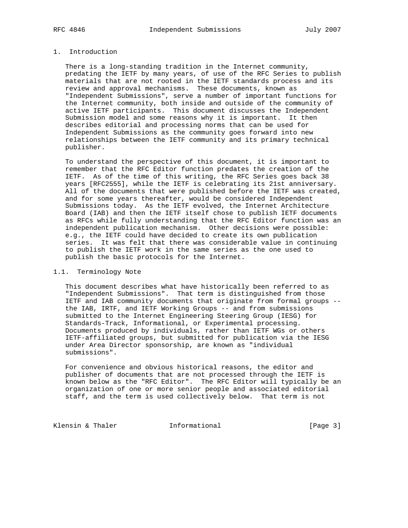## 1. Introduction

 There is a long-standing tradition in the Internet community, predating the IETF by many years, of use of the RFC Series to publish materials that are not rooted in the IETF standards process and its review and approval mechanisms. These documents, known as "Independent Submissions", serve a number of important functions for the Internet community, both inside and outside of the community of active IETF participants. This document discusses the Independent Submission model and some reasons why it is important. It then describes editorial and processing norms that can be used for Independent Submissions as the community goes forward into new relationships between the IETF community and its primary technical publisher.

 To understand the perspective of this document, it is important to remember that the RFC Editor function predates the creation of the IETF. As of the time of this writing, the RFC Series goes back 38 years [RFC2555], while the IETF is celebrating its 21st anniversary. All of the documents that were published before the IETF was created, and for some years thereafter, would be considered Independent Submissions today. As the IETF evolved, the Internet Architecture Board (IAB) and then the IETF itself chose to publish IETF documents as RFCs while fully understanding that the RFC Editor function was an independent publication mechanism. Other decisions were possible: e.g., the IETF could have decided to create its own publication series. It was felt that there was considerable value in continuing to publish the IETF work in the same series as the one used to publish the basic protocols for the Internet.

## 1.1. Terminology Note

 This document describes what have historically been referred to as "Independent Submissions". That term is distinguished from those IETF and IAB community documents that originate from formal groups - the IAB, IRTF, and IETF Working Groups -- and from submissions submitted to the Internet Engineering Steering Group (IESG) for Standards-Track, Informational, or Experimental processing. Documents produced by individuals, rather than IETF WGs or others IETF-affiliated groups, but submitted for publication via the IESG under Area Director sponsorship, are known as "individual submissions".

 For convenience and obvious historical reasons, the editor and publisher of documents that are not processed through the IETF is known below as the "RFC Editor". The RFC Editor will typically be an organization of one or more senior people and associated editorial staff, and the term is used collectively below. That term is not

Klensin & Thaler **Informational** [Page 3]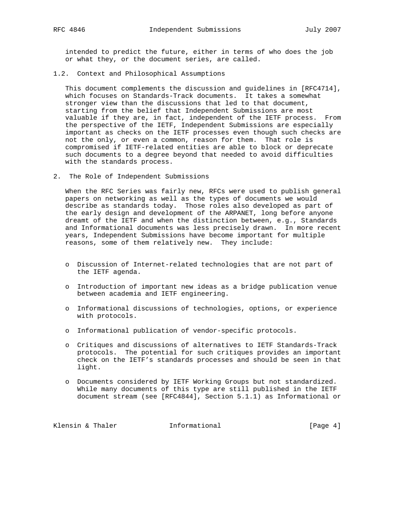intended to predict the future, either in terms of who does the job or what they, or the document series, are called.

1.2. Context and Philosophical Assumptions

 This document complements the discussion and guidelines in [RFC4714], which focuses on Standards-Track documents. It takes a somewhat stronger view than the discussions that led to that document, starting from the belief that Independent Submissions are most valuable if they are, in fact, independent of the IETF process. From the perspective of the IETF, Independent Submissions are especially important as checks on the IETF processes even though such checks are not the only, or even a common, reason for them. That role is compromised if IETF-related entities are able to block or deprecate such documents to a degree beyond that needed to avoid difficulties with the standards process.

2. The Role of Independent Submissions

 When the RFC Series was fairly new, RFCs were used to publish general papers on networking as well as the types of documents we would describe as standards today. Those roles also developed as part of the early design and development of the ARPANET, long before anyone dreamt of the IETF and when the distinction between, e.g., Standards and Informational documents was less precisely drawn. In more recent years, Independent Submissions have become important for multiple reasons, some of them relatively new. They include:

- o Discussion of Internet-related technologies that are not part of the IETF agenda.
- o Introduction of important new ideas as a bridge publication venue between academia and IETF engineering.
- o Informational discussions of technologies, options, or experience with protocols.
- o Informational publication of vendor-specific protocols.
- o Critiques and discussions of alternatives to IETF Standards-Track protocols. The potential for such critiques provides an important check on the IETF's standards processes and should be seen in that light.
- o Documents considered by IETF Working Groups but not standardized. While many documents of this type are still published in the IETF document stream (see [RFC4844], Section 5.1.1) as Informational or

Klensin & Thaler **Informational** [Page 4]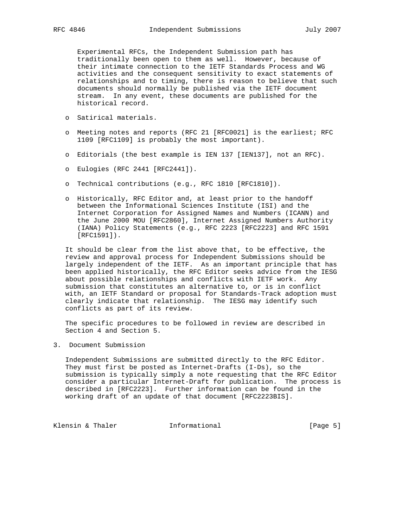Experimental RFCs, the Independent Submission path has traditionally been open to them as well. However, because of their intimate connection to the IETF Standards Process and WG activities and the consequent sensitivity to exact statements of relationships and to timing, there is reason to believe that such documents should normally be published via the IETF document stream. In any event, these documents are published for the historical record.

- o Satirical materials.
- o Meeting notes and reports (RFC 21 [RFC0021] is the earliest; RFC 1109 [RFC1109] is probably the most important).
- o Editorials (the best example is IEN 137 [IEN137], not an RFC).
- o Eulogies (RFC 2441 [RFC2441]).
- o Technical contributions (e.g., RFC 1810 [RFC1810]).
- o Historically, RFC Editor and, at least prior to the handoff between the Informational Sciences Institute (ISI) and the Internet Corporation for Assigned Names and Numbers (ICANN) and the June 2000 MOU [RFC2860], Internet Assigned Numbers Authority (IANA) Policy Statements (e.g., RFC 2223 [RFC2223] and RFC 1591 [RFC1591]).

 It should be clear from the list above that, to be effective, the review and approval process for Independent Submissions should be largely independent of the IETF. As an important principle that has been applied historically, the RFC Editor seeks advice from the IESG about possible relationships and conflicts with IETF work. Any submission that constitutes an alternative to, or is in conflict with, an IETF Standard or proposal for Standards-Track adoption must clearly indicate that relationship. The IESG may identify such conflicts as part of its review.

 The specific procedures to be followed in review are described in Section 4 and Section 5.

3. Document Submission

 Independent Submissions are submitted directly to the RFC Editor. They must first be posted as Internet-Drafts (I-Ds), so the submission is typically simply a note requesting that the RFC Editor consider a particular Internet-Draft for publication. The process is described in [RFC2223]. Further information can be found in the working draft of an update of that document [RFC2223BIS].

Klensin & Thaler **Informational** [Page 5]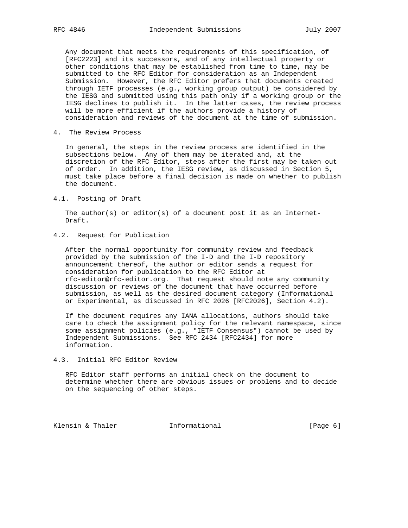Any document that meets the requirements of this specification, of [RFC2223] and its successors, and of any intellectual property or other conditions that may be established from time to time, may be submitted to the RFC Editor for consideration as an Independent Submission. However, the RFC Editor prefers that documents created through IETF processes (e.g., working group output) be considered by the IESG and submitted using this path only if a working group or the IESG declines to publish it. In the latter cases, the review process will be more efficient if the authors provide a history of consideration and reviews of the document at the time of submission.

4. The Review Process

 In general, the steps in the review process are identified in the subsections below. Any of them may be iterated and, at the discretion of the RFC Editor, steps after the first may be taken out of order. In addition, the IESG review, as discussed in Section 5, must take place before a final decision is made on whether to publish the document.

#### 4.1. Posting of Draft

 The author(s) or editor(s) of a document post it as an Internet- Draft.

# 4.2. Request for Publication

 After the normal opportunity for community review and feedback provided by the submission of the I-D and the I-D repository announcement thereof, the author or editor sends a request for consideration for publication to the RFC Editor at rfc-editor@rfc-editor.org. That request should note any community discussion or reviews of the document that have occurred before submission, as well as the desired document category (Informational or Experimental, as discussed in RFC 2026 [RFC2026], Section 4.2).

 If the document requires any IANA allocations, authors should take care to check the assignment policy for the relevant namespace, since some assignment policies (e.g., "IETF Consensus") cannot be used by Independent Submissions. See RFC 2434 [RFC2434] for more information.

## 4.3. Initial RFC Editor Review

 RFC Editor staff performs an initial check on the document to determine whether there are obvious issues or problems and to decide on the sequencing of other steps.

Klensin & Thaler **Informational** [Page 6]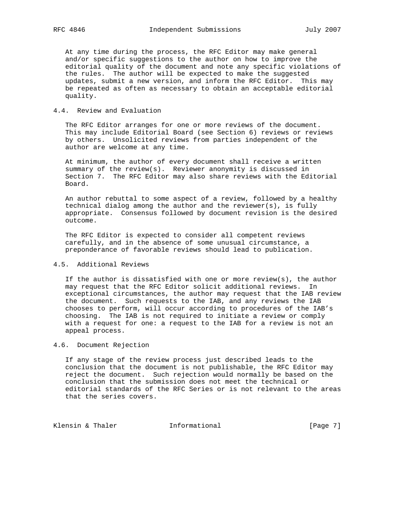At any time during the process, the RFC Editor may make general and/or specific suggestions to the author on how to improve the editorial quality of the document and note any specific violations of the rules. The author will be expected to make the suggested updates, submit a new version, and inform the RFC Editor. This may be repeated as often as necessary to obtain an acceptable editorial quality.

### 4.4. Review and Evaluation

 The RFC Editor arranges for one or more reviews of the document. This may include Editorial Board (see Section 6) reviews or reviews by others. Unsolicited reviews from parties independent of the author are welcome at any time.

 At minimum, the author of every document shall receive a written summary of the review(s). Reviewer anonymity is discussed in Section 7. The RFC Editor may also share reviews with the Editorial Board.

 An author rebuttal to some aspect of a review, followed by a healthy technical dialog among the author and the reviewer(s), is fully appropriate. Consensus followed by document revision is the desired outcome.

 The RFC Editor is expected to consider all competent reviews carefully, and in the absence of some unusual circumstance, a preponderance of favorable reviews should lead to publication.

# 4.5. Additional Reviews

If the author is dissatisfied with one or more review(s), the author may request that the RFC Editor solicit additional reviews. In exceptional circumstances, the author may request that the IAB review the document. Such requests to the IAB, and any reviews the IAB chooses to perform, will occur according to procedures of the IAB's choosing. The IAB is not required to initiate a review or comply with a request for one: a request to the IAB for a review is not an appeal process.

### 4.6. Document Rejection

 If any stage of the review process just described leads to the conclusion that the document is not publishable, the RFC Editor may reject the document. Such rejection would normally be based on the conclusion that the submission does not meet the technical or editorial standards of the RFC Series or is not relevant to the areas that the series covers.

Klensin & Thaler **Informational** [Page 7]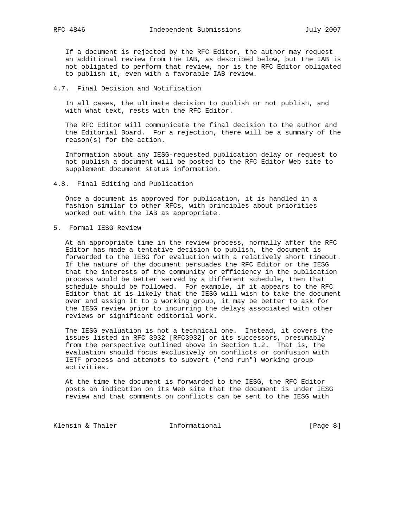If a document is rejected by the RFC Editor, the author may request an additional review from the IAB, as described below, but the IAB is not obligated to perform that review, nor is the RFC Editor obligated to publish it, even with a favorable IAB review.

### 4.7. Final Decision and Notification

 In all cases, the ultimate decision to publish or not publish, and with what text, rests with the RFC Editor.

 The RFC Editor will communicate the final decision to the author and the Editorial Board. For a rejection, there will be a summary of the reason(s) for the action.

 Information about any IESG-requested publication delay or request to not publish a document will be posted to the RFC Editor Web site to supplement document status information.

4.8. Final Editing and Publication

 Once a document is approved for publication, it is handled in a fashion similar to other RFCs, with principles about priorities worked out with the IAB as appropriate.

5. Formal IESG Review

 At an appropriate time in the review process, normally after the RFC Editor has made a tentative decision to publish, the document is forwarded to the IESG for evaluation with a relatively short timeout. If the nature of the document persuades the RFC Editor or the IESG that the interests of the community or efficiency in the publication process would be better served by a different schedule, then that schedule should be followed. For example, if it appears to the RFC Editor that it is likely that the IESG will wish to take the document over and assign it to a working group, it may be better to ask for the IESG review prior to incurring the delays associated with other reviews or significant editorial work.

 The IESG evaluation is not a technical one. Instead, it covers the issues listed in RFC 3932 [RFC3932] or its successors, presumably from the perspective outlined above in Section 1.2. That is, the evaluation should focus exclusively on conflicts or confusion with IETF process and attempts to subvert ("end run") working group activities.

 At the time the document is forwarded to the IESG, the RFC Editor posts an indication on its Web site that the document is under IESG review and that comments on conflicts can be sent to the IESG with

Klensin & Thaler **Informational** [Page 8]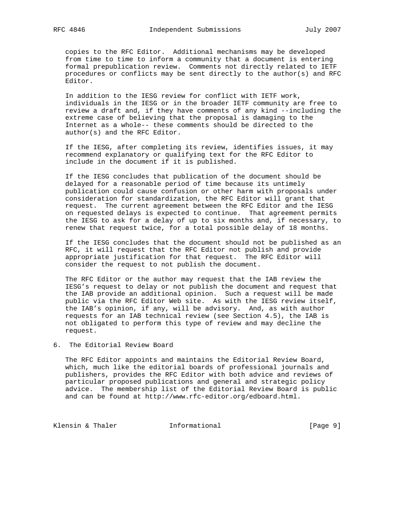copies to the RFC Editor. Additional mechanisms may be developed from time to time to inform a community that a document is entering formal prepublication review. Comments not directly related to IETF procedures or conflicts may be sent directly to the author(s) and RFC Editor.

 In addition to the IESG review for conflict with IETF work, individuals in the IESG or in the broader IETF community are free to review a draft and, if they have comments of any kind --including the extreme case of believing that the proposal is damaging to the Internet as a whole-- these comments should be directed to the author(s) and the RFC Editor.

 If the IESG, after completing its review, identifies issues, it may recommend explanatory or qualifying text for the RFC Editor to include in the document if it is published.

 If the IESG concludes that publication of the document should be delayed for a reasonable period of time because its untimely publication could cause confusion or other harm with proposals under consideration for standardization, the RFC Editor will grant that request. The current agreement between the RFC Editor and the IESG on requested delays is expected to continue. That agreement permits the IESG to ask for a delay of up to six months and, if necessary, to renew that request twice, for a total possible delay of 18 months.

 If the IESG concludes that the document should not be published as an RFC, it will request that the RFC Editor not publish and provide appropriate justification for that request. The RFC Editor will consider the request to not publish the document.

 The RFC Editor or the author may request that the IAB review the IESG's request to delay or not publish the document and request that the IAB provide an additional opinion. Such a request will be made public via the RFC Editor Web site. As with the IESG review itself, the IAB's opinion, if any, will be advisory. And, as with author requests for an IAB technical review (see Section 4.5), the IAB is not obligated to perform this type of review and may decline the request.

6. The Editorial Review Board

 The RFC Editor appoints and maintains the Editorial Review Board, which, much like the editorial boards of professional journals and publishers, provides the RFC Editor with both advice and reviews of particular proposed publications and general and strategic policy advice. The membership list of the Editorial Review Board is public and can be found at http://www.rfc-editor.org/edboard.html.

Klensin & Thaler **Informational** [Page 9]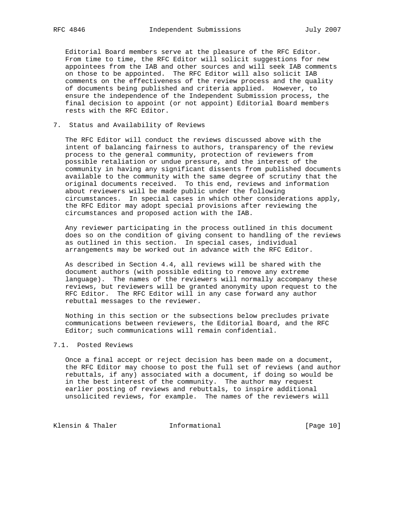Editorial Board members serve at the pleasure of the RFC Editor. From time to time, the RFC Editor will solicit suggestions for new appointees from the IAB and other sources and will seek IAB comments on those to be appointed. The RFC Editor will also solicit IAB comments on the effectiveness of the review process and the quality of documents being published and criteria applied. However, to ensure the independence of the Independent Submission process, the final decision to appoint (or not appoint) Editorial Board members rests with the RFC Editor.

7. Status and Availability of Reviews

 The RFC Editor will conduct the reviews discussed above with the intent of balancing fairness to authors, transparency of the review process to the general community, protection of reviewers from possible retaliation or undue pressure, and the interest of the community in having any significant dissents from published documents available to the community with the same degree of scrutiny that the original documents received. To this end, reviews and information about reviewers will be made public under the following circumstances. In special cases in which other considerations apply, the RFC Editor may adopt special provisions after reviewing the circumstances and proposed action with the IAB.

 Any reviewer participating in the process outlined in this document does so on the condition of giving consent to handling of the reviews as outlined in this section. In special cases, individual arrangements may be worked out in advance with the RFC Editor.

 As described in Section 4.4, all reviews will be shared with the document authors (with possible editing to remove any extreme language). The names of the reviewers will normally accompany these reviews, but reviewers will be granted anonymity upon request to the RFC Editor. The RFC Editor will in any case forward any author rebuttal messages to the reviewer.

 Nothing in this section or the subsections below precludes private communications between reviewers, the Editorial Board, and the RFC Editor; such communications will remain confidential.

### 7.1. Posted Reviews

 Once a final accept or reject decision has been made on a document, the RFC Editor may choose to post the full set of reviews (and author rebuttals, if any) associated with a document, if doing so would be in the best interest of the community. The author may request earlier posting of reviews and rebuttals, to inspire additional unsolicited reviews, for example. The names of the reviewers will

Klensin & Thaler **Informational** [Page 10]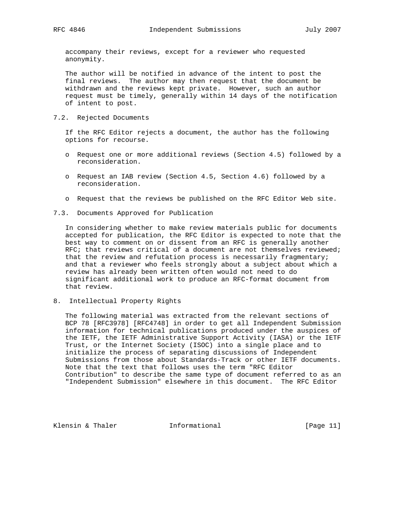accompany their reviews, except for a reviewer who requested anonymity.

 The author will be notified in advance of the intent to post the final reviews. The author may then request that the document be withdrawn and the reviews kept private. However, such an author request must be timely, generally within 14 days of the notification of intent to post.

7.2. Rejected Documents

 If the RFC Editor rejects a document, the author has the following options for recourse.

- o Request one or more additional reviews (Section 4.5) followed by a reconsideration.
- o Request an IAB review (Section 4.5, Section 4.6) followed by a reconsideration.
- o Request that the reviews be published on the RFC Editor Web site.
- 7.3. Documents Approved for Publication

 In considering whether to make review materials public for documents accepted for publication, the RFC Editor is expected to note that the best way to comment on or dissent from an RFC is generally another RFC; that reviews critical of a document are not themselves reviewed; that the review and refutation process is necessarily fragmentary; and that a reviewer who feels strongly about a subject about which a review has already been written often would not need to do significant additional work to produce an RFC-format document from that review.

8. Intellectual Property Rights

 The following material was extracted from the relevant sections of BCP 78 [RFC3978] [RFC4748] in order to get all Independent Submission information for technical publications produced under the auspices of the IETF, the IETF Administrative Support Activity (IASA) or the IETF Trust, or the Internet Society (ISOC) into a single place and to initialize the process of separating discussions of Independent Submissions from those about Standards-Track or other IETF documents. Note that the text that follows uses the term "RFC Editor Contribution" to describe the same type of document referred to as an "Independent Submission" elsewhere in this document. The RFC Editor

Klensin & Thaler **Informational** [Page 11]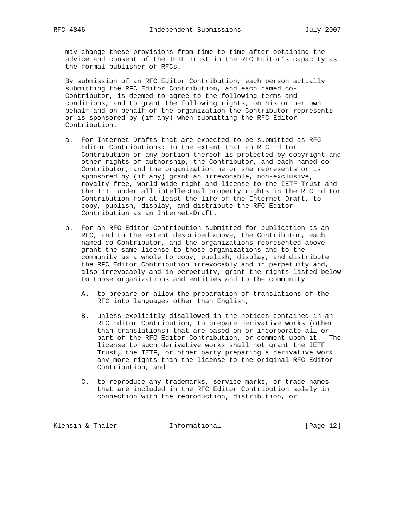may change these provisions from time to time after obtaining the advice and consent of the IETF Trust in the RFC Editor's capacity as the formal publisher of RFCs.

 By submission of an RFC Editor Contribution, each person actually submitting the RFC Editor Contribution, and each named co- Contributor, is deemed to agree to the following terms and conditions, and to grant the following rights, on his or her own behalf and on behalf of the organization the Contributor represents or is sponsored by (if any) when submitting the RFC Editor Contribution.

- a. For Internet-Drafts that are expected to be submitted as RFC Editor Contributions: To the extent that an RFC Editor Contribution or any portion thereof is protected by copyright and other rights of authorship, the Contributor, and each named co- Contributor, and the organization he or she represents or is sponsored by (if any) grant an irrevocable, non-exclusive, royalty-free, world-wide right and license to the IETF Trust and the IETF under all intellectual property rights in the RFC Editor Contribution for at least the life of the Internet-Draft, to copy, publish, display, and distribute the RFC Editor Contribution as an Internet-Draft.
- b. For an RFC Editor Contribution submitted for publication as an RFC, and to the extent described above, the Contributor, each named co-Contributor, and the organizations represented above grant the same license to those organizations and to the community as a whole to copy, publish, display, and distribute the RFC Editor Contribution irrevocably and in perpetuity and, also irrevocably and in perpetuity, grant the rights listed below to those organizations and entities and to the community:
	- A. to prepare or allow the preparation of translations of the RFC into languages other than English,
	- B. unless explicitly disallowed in the notices contained in an RFC Editor Contribution, to prepare derivative works (other than translations) that are based on or incorporate all or part of the RFC Editor Contribution, or comment upon it. The license to such derivative works shall not grant the IETF Trust, the IETF, or other party preparing a derivative work any more rights than the license to the original RFC Editor Contribution, and
	- C. to reproduce any trademarks, service marks, or trade names that are included in the RFC Editor Contribution solely in connection with the reproduction, distribution, or

Klensin & Thaler **Informational** [Page 12]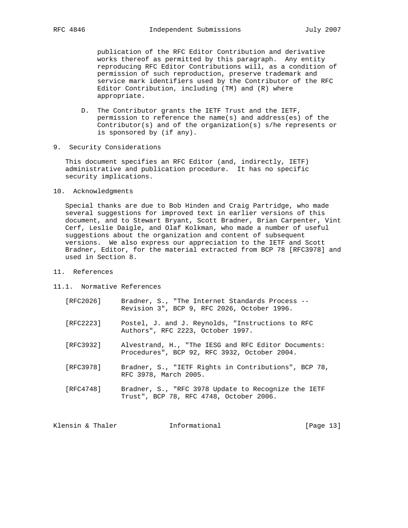publication of the RFC Editor Contribution and derivative works thereof as permitted by this paragraph. Any entity reproducing RFC Editor Contributions will, as a condition of permission of such reproduction, preserve trademark and service mark identifiers used by the Contributor of the RFC Editor Contribution, including (TM) and (R) where appropriate.

- D. The Contributor grants the IETF Trust and the IETF, permission to reference the name(s) and address(es) of the Contributor(s) and of the organization(s) s/he represents or is sponsored by (if any).
- 9. Security Considerations

 This document specifies an RFC Editor (and, indirectly, IETF) administrative and publication procedure. It has no specific security implications.

10. Acknowledgments

 Special thanks are due to Bob Hinden and Craig Partridge, who made several suggestions for improved text in earlier versions of this document, and to Stewart Bryant, Scott Bradner, Brian Carpenter, Vint Cerf, Leslie Daigle, and Olaf Kolkman, who made a number of useful suggestions about the organization and content of subsequent versions. We also express our appreciation to the IETF and Scott Bradner, Editor, for the material extracted from BCP 78 [RFC3978] and used in Section 8.

- 11. References
- 11.1. Normative References
	- [RFC2026] Bradner, S., "The Internet Standards Process -- Revision 3", BCP 9, RFC 2026, October 1996.
	- [RFC2223] Postel, J. and J. Reynolds, "Instructions to RFC Authors", RFC 2223, October 1997.
	- [RFC3932] Alvestrand, H., "The IESG and RFC Editor Documents: Procedures", BCP 92, RFC 3932, October 2004.
	- [RFC3978] Bradner, S., "IETF Rights in Contributions", BCP 78, RFC 3978, March 2005.
	- [RFC4748] Bradner, S., "RFC 3978 Update to Recognize the IETF Trust", BCP 78, RFC 4748, October 2006.

Klensin & Thaler **Informational** [Page 13]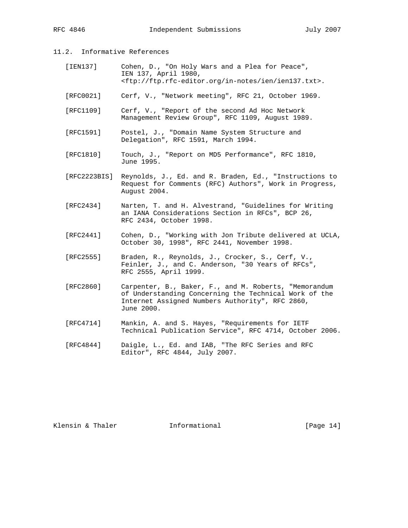# 11.2. Informative References

| [IEN137] | Cohen, D., "On Holy Wars and a Plea for Peace",                       |
|----------|-----------------------------------------------------------------------|
|          | IEN 137, April 1980,                                                  |
|          | <ftp: ftp.rfc-editor.org="" ien="" ien137.txt="" in-notes="">.</ftp:> |
|          |                                                                       |

- [RFC0021] Cerf, V., "Network meeting", RFC 21, October 1969.
- [RFC1109] Cerf, V., "Report of the second Ad Hoc Network Management Review Group", RFC 1109, August 1989.
- [RFC1591] Postel, J., "Domain Name System Structure and Delegation", RFC 1591, March 1994.
- [RFC1810] Touch, J., "Report on MD5 Performance", RFC 1810, June 1995.
- [RFC2223BIS] Reynolds, J., Ed. and R. Braden, Ed., "Instructions to Request for Comments (RFC) Authors", Work in Progress, August 2004.
- [RFC2434] Narten, T. and H. Alvestrand, "Guidelines for Writing an IANA Considerations Section in RFCs", BCP 26, RFC 2434, October 1998.
- [RFC2441] Cohen, D., "Working with Jon Tribute delivered at UCLA, October 30, 1998", RFC 2441, November 1998.
	- [RFC2555] Braden, R., Reynolds, J., Crocker, S., Cerf, V., Feinler, J., and C. Anderson, "30 Years of RFCs", RFC 2555, April 1999.
	- [RFC2860] Carpenter, B., Baker, F., and M. Roberts, "Memorandum of Understanding Concerning the Technical Work of the Internet Assigned Numbers Authority", RFC 2860, June 2000.
	- [RFC4714] Mankin, A. and S. Hayes, "Requirements for IETF Technical Publication Service", RFC 4714, October 2006.
	- [RFC4844] Daigle, L., Ed. and IAB, "The RFC Series and RFC Editor", RFC 4844, July 2007.

Klensin & Thaler **Informational** [Page 14]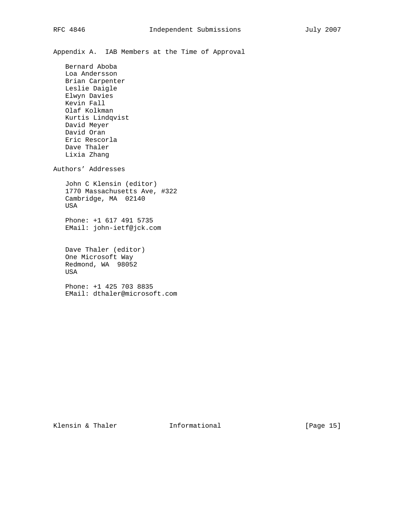Appendix A. IAB Members at the Time of Approval

 Bernard Aboba Loa Andersson Brian Carpenter Leslie Daigle Elwyn Davies Kevin Fall Olaf Kolkman Kurtis Lindqvist David Meyer David Oran Eric Rescorla Dave Thaler Lixia Zhang Authors' Addresses John C Klensin (editor) 1770 Massachusetts Ave, #322 Cambridge, MA 02140 USA Phone: +1 617 491 5735 EMail: john-ietf@jck.com

 Dave Thaler (editor) One Microsoft Way Redmond, WA 98052 USA

 Phone: +1 425 703 8835 EMail: dthaler@microsoft.com

Klensin & Thaler **Informational** [Page 15]